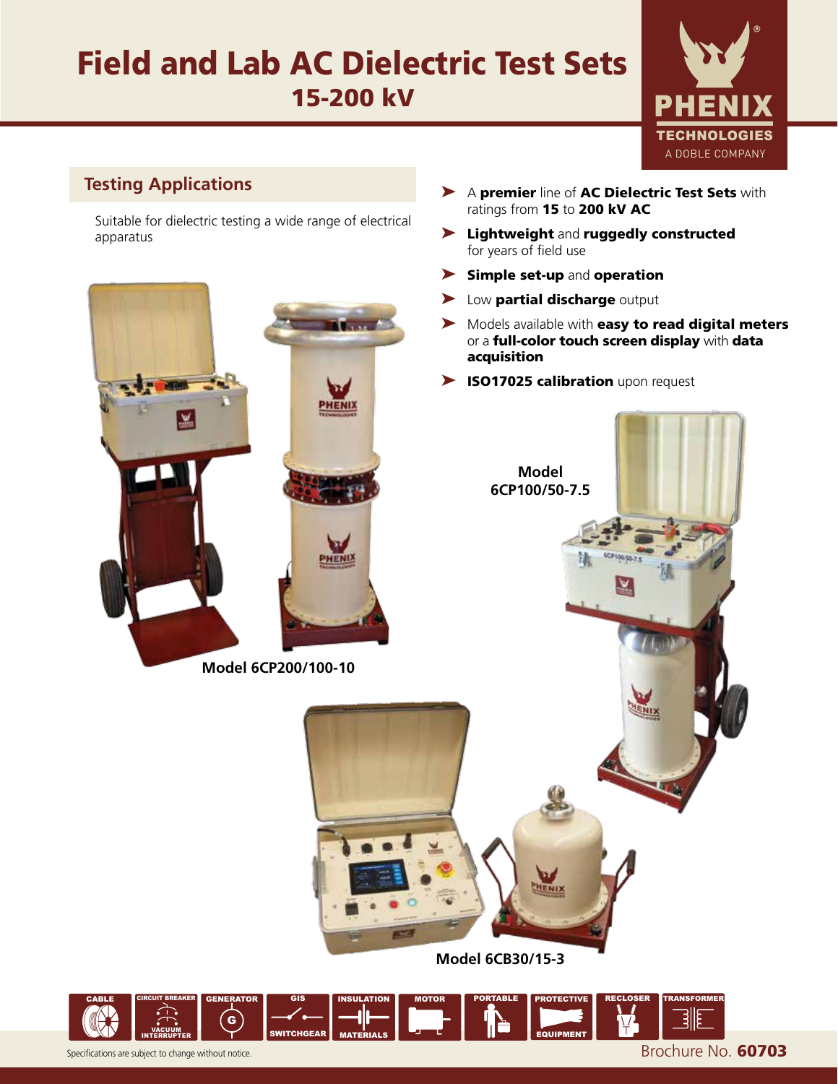# Field and Lab AC Dielectric Test Sets 15-200 kV



# **Testing Applications**

Suitable for dielectric testing a wide range of electrical apparatus

- ▶ A premier line of AC Dielectric Test Sets with ratings from 15 to 200 kV AC
- ➤ Lightweight and ruggedly constructed for years of field use
- ➤ Simple set-up and operation
- ▶ Low partial discharge output
- ▶ Models available with easy to read digital meters or a full-color touch screen display with data acquisition
- ▶ ISO17025 calibration upon request



MOTOR PORTABLE PROTECTIVE

EQUIPMENT

VACUUM INTERRUPTER

CIRCUIT BREAKER

G

GENERATOR GIS

WITCHG

INSULATION

MATERIALS

CABLE

RECLOSER TRANSFORMER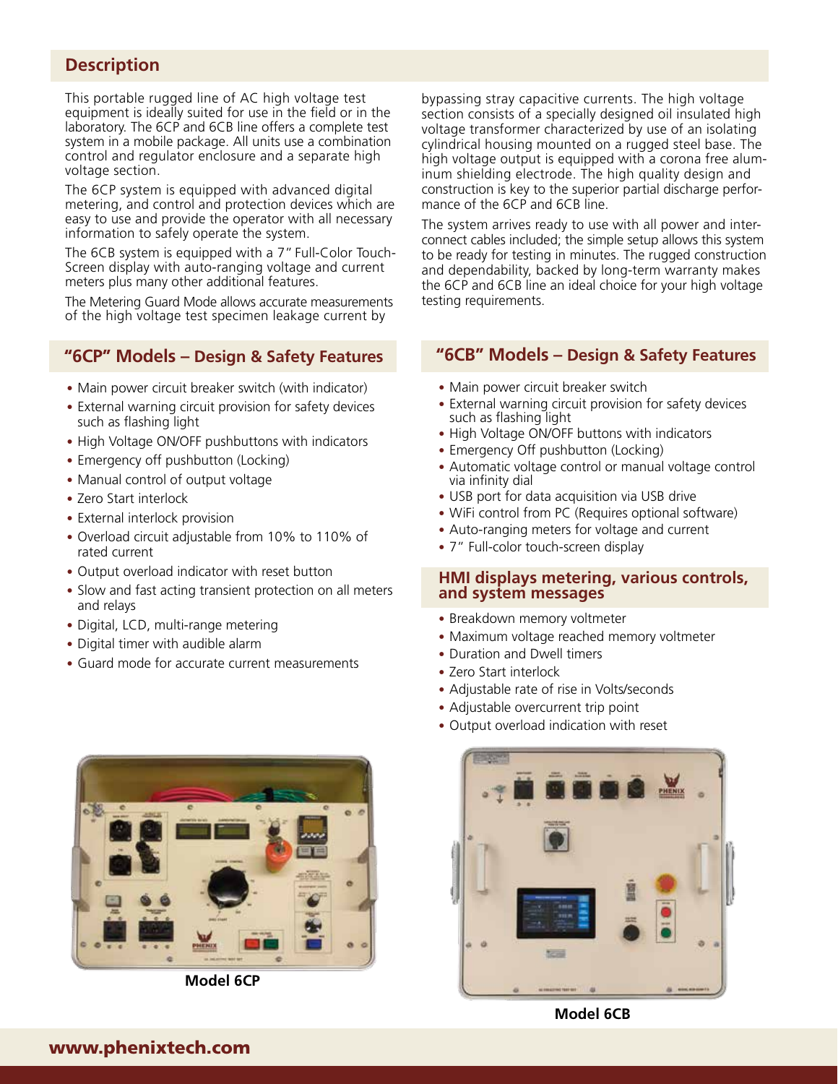## **Description**

This portable rugged line of AC high voltage test equipment is ideally suited for use in the field or in the laboratory. The 6CP and 6CB line offers a complete test system in a mobile package. All units use a combination control and regulator enclosure and a separate high voltage section.

The 6CP system is equipped with advanced digital metering, and control and protection devices which are easy to use and provide the operator with all necessary information to safely operate the system.

The 6CB system is equipped with a 7" Full-Color Touch-Screen display with auto-ranging voltage and current meters plus many other additional features.

The Metering Guard Mode allows accurate measurements of the high voltage test specimen leakage current by

- Main power circuit breaker switch (with indicator)
- External warning circuit provision for safety devices such as flashing light
- High Voltage ON/OFF pushbuttons with indicators
- Emergency off pushbutton (Locking)
- Manual control of output voltage
- Zero Start interlock
- External interlock provision
- Overload circuit adjustable from 10% to 110% of rated current
- Output overload indicator with reset button
- Slow and fast acting transient protection on all meters and relays
- Digital, LCD, multi-range metering
- Digital timer with audible alarm
- Guard mode for accurate current measurements

bypassing stray capacitive currents. The high voltage section consists of a specially designed oil insulated high voltage transformer characterized by use of an isolating cylindrical housing mounted on a rugged steel base. The high voltage output is equipped with a corona free aluminum shielding electrode. The high quality design and construction is key to the superior partial discharge performance of the 6CP and 6CB line.

The system arrives ready to use with all power and interconnect cables included; the simple setup allows this system to be ready for testing in minutes. The rugged construction and dependability, backed by long-term warranty makes the 6CP and 6CB line an ideal choice for your high voltage testing requirements.

# **"6CP" Models – Design & Safety Features "6CB" Models – Design & Safety Features**

- Main power circuit breaker switch
- External warning circuit provision for safety devices such as flashing light
- High Voltage ON/OFF buttons with indicators
- Emergency Off pushbutton (Locking)
- Automatic voltage control or manual voltage control via infinity dial
- USB port for data acquisition via USB drive
- WiFi control from PC (Requires optional software)
- Auto-ranging meters for voltage and current
- 7" Full-color touch-screen display

#### **HMI displays metering, various controls, and system messages**

- Breakdown memory voltmeter
- Maximum voltage reached memory voltmeter
- Duration and Dwell timers
- Zero Start interlock
- Adjustable rate of rise in Volts/seconds
- Adjustable overcurrent trip point
- Output overload indication with reset



**Model 6CP**



**Model 6CB**

# www.phenixtech.com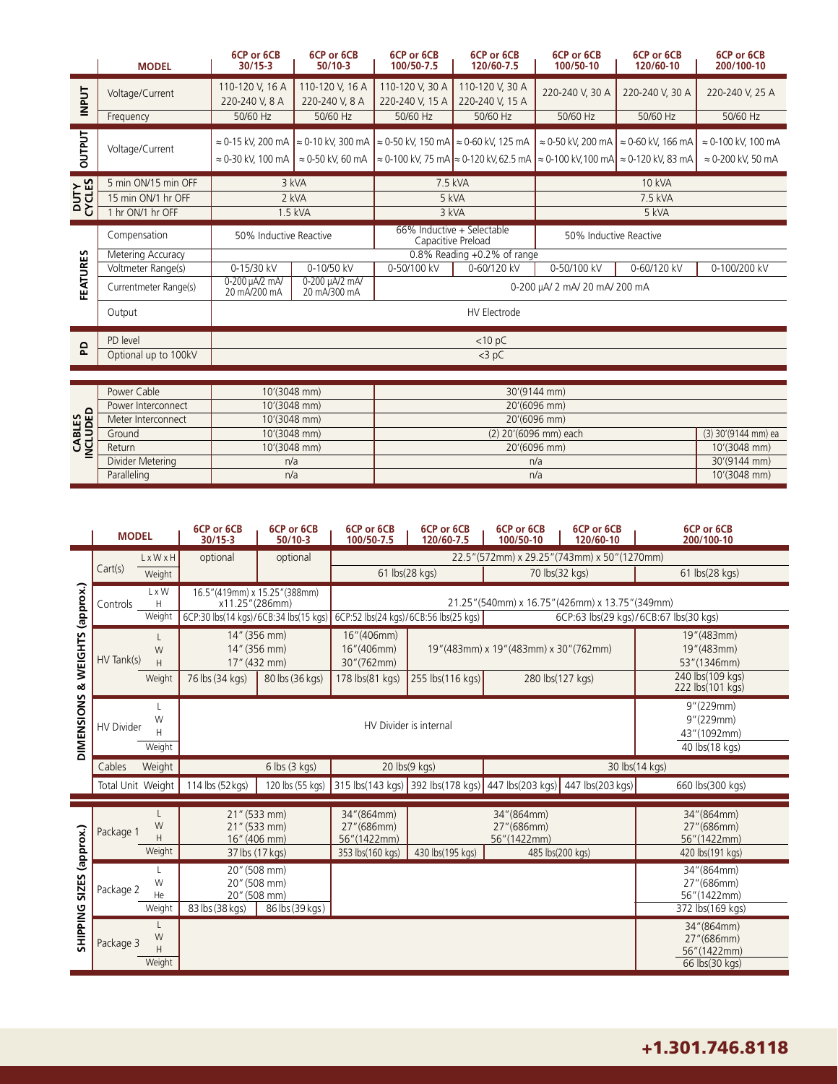|                | <b>MODEL</b>          | 6CP or 6CB<br>$30/15 - 3$                                        | 6CP or 6CB<br>$50/10-3$                               | 6CP or 6CB<br>100/50-7.5                         | 6CP or 6CB<br>120/60-7.5                            | 6CP or 6CB<br>100/50-10       | 6CP or 6CB<br>120/60-10                                                                                                                                                                              | 6CP or 6CB<br>200/100-10                                |  |
|----------------|-----------------------|------------------------------------------------------------------|-------------------------------------------------------|--------------------------------------------------|-----------------------------------------------------|-------------------------------|------------------------------------------------------------------------------------------------------------------------------------------------------------------------------------------------------|---------------------------------------------------------|--|
| <b>INPUT</b>   | Voltage/Current       | 110-120 V, 16 A<br>220-240 V, 8 A                                | 110-120 V, 16 A<br>220-240 V, 8 A                     | 110-120 V, 30 A<br>220-240 V, 15 A               | 110-120 V, 30 A<br>220-240 V, 15 A                  | 220-240 V, 30 A               | 220-240 V, 30 A                                                                                                                                                                                      | 220-240 V, 25 A                                         |  |
|                | Frequency             | 50/60 Hz                                                         | 50/60 Hz                                              | 50/60 Hz                                         | 50/60 Hz                                            | 50/60 Hz                      | 50/60 Hz<br>$\approx$ 0-50 kV, 200 mA $\approx$ 0-60 kV, 166 mA<br> ≈ 0-100 kV, 75 mA  ≈ 0-120 kV, 62.5 mA  ≈ 0-100 kV,100 mA  ≈ 0-120 kV, 83 mA<br><b>10 kVA</b><br>7.5 kVA<br>5 kVA<br>0-60/120 kV | 50/60 Hz                                                |  |
| <b>TUFFUT</b>  | Voltage/Current       | $\approx$ 0-15 kV, 200 mA<br>$\approx$ 0-30 kV, 100 mA           | $\approx$ 0-10 kV, 300 mA<br>$\approx$ 0-50 kV, 60 mA |                                                  | $\approx$ 0-50 kV, 150 mA $\approx$ 0-60 kV, 125 mA |                               |                                                                                                                                                                                                      | $\approx$ 0-100 kV, 100 mA<br>$\approx$ 0-200 kV, 50 mA |  |
| DUTY<br>CYCLES | 5 min ON/15 min OFF   | 3 kVA                                                            |                                                       | 7.5 kVA                                          |                                                     |                               |                                                                                                                                                                                                      |                                                         |  |
|                | 15 min ON/1 hr OFF    | 2 kVA                                                            |                                                       | 5 kVA                                            |                                                     |                               |                                                                                                                                                                                                      |                                                         |  |
|                | 1 hr ON/1 hr OFF      | 1.5 kVA                                                          |                                                       | 3 kVA                                            |                                                     |                               |                                                                                                                                                                                                      |                                                         |  |
| FEATURES       | Compensation          | 50% Inductive Reactive                                           |                                                       | 66% Inductive + Selectable<br>Capacitive Preload |                                                     | 50% Inductive Reactive        |                                                                                                                                                                                                      |                                                         |  |
|                | Metering Accuracy     |                                                                  |                                                       |                                                  | 0.8% Reading +0.2% of range                         |                               |                                                                                                                                                                                                      |                                                         |  |
|                | Voltmeter Range(s)    | 0-15/30 kV                                                       | 0-10/50 kV                                            | 0-50/100 kV                                      | $0 - 60/120$ kV                                     | 0-50/100 kV                   |                                                                                                                                                                                                      | 0-100/200 kV                                            |  |
|                | Currentmeter Range(s) | 0-200 µA/2 mA/<br>0-200 µA/2 mA/<br>20 mA/200 mA<br>20 mA/300 mA |                                                       |                                                  |                                                     | 0-200 µA/ 2 mA/ 20 mA/ 200 mA |                                                                                                                                                                                                      |                                                         |  |
|                | Output                | HV Electrode                                                     |                                                       |                                                  |                                                     |                               |                                                                                                                                                                                                      |                                                         |  |
| 요              | PD level              | $<$ 10 pC                                                        |                                                       |                                                  |                                                     |                               |                                                                                                                                                                                                      |                                                         |  |
|                | Optional up to 100kV  | $<$ 3 pC                                                         |                                                       |                                                  |                                                     |                               |                                                                                                                                                                                                      |                                                         |  |
|                |                       |                                                                  |                                                       |                                                  |                                                     |                               |                                                                                                                                                                                                      |                                                         |  |
|                | Power Cable           | 10'(3048 mm)                                                     |                                                       | 30'(9144 mm)                                     |                                                     |                               |                                                                                                                                                                                                      |                                                         |  |
| ≏              | Power Interconnect    | 10'(3048 mm)                                                     |                                                       | 20'(6096 mm)                                     |                                                     |                               |                                                                                                                                                                                                      |                                                         |  |

| 说의<br>$\mathbf{m}$ | Power Interconnect | 10'(3048 mm). |                       |                     |  |  |
|--------------------|--------------------|---------------|-----------------------|---------------------|--|--|
|                    | Meter Interconnect | 10'(3048 mm)  | 20'(6096 mm)          |                     |  |  |
|                    | Ground             | 10'(3048 mm)  | (2) 20'(6096 mm) each | (3) 30'(9144 mm) ea |  |  |
|                    | Return             | 10'(3048 mm)  | 20'(6096 mm)          | 10'(3048 mm)        |  |  |
|                    | Divider Metering   | n/a           | n/a                   | 30'(9144 mm)        |  |  |
|                    | Paralleling        | n/a           | n/a                   | 10'(3048 mm)        |  |  |

|                                          | <b>MODEL</b>                                                             |                       | 6CP or 6CB<br>$30/15 - 3$                                                          | 6CP or 6CB<br>$50/10-3$ | 6CP or 6CB<br>100/50-7.5                                     | 6CP or 6CB<br>120/60-7.5                           | 6CP or 6CB<br>100/50-10                                     | 6CP or 6CB<br>120/60-10                                     | 6CP or 6CB<br>200/100-10                                    |  |
|------------------------------------------|--------------------------------------------------------------------------|-----------------------|------------------------------------------------------------------------------------|-------------------------|--------------------------------------------------------------|----------------------------------------------------|-------------------------------------------------------------|-------------------------------------------------------------|-------------------------------------------------------------|--|
|                                          | Cart(s)                                                                  | LxWxH                 | optional                                                                           | optional                | 22.5" (572mm) x 29.25" (743mm) x 50" (1270mm)                |                                                    |                                                             |                                                             |                                                             |  |
|                                          |                                                                          | Weight                |                                                                                    |                         |                                                              | 61 lbs(28 kgs)                                     |                                                             | 70 lbs(32 kgs)                                              | 61 lbs(28 kgs)                                              |  |
|                                          | L x W<br>16.5"(419mm) x 15.25"(388mm)<br>H<br>x11.25"(286mm)<br>Controls |                       | 21.25" (540mm) x 16.75" (426mm) x 13.75" (349mm)                                   |                         |                                                              |                                                    |                                                             |                                                             |                                                             |  |
|                                          |                                                                          | Weight                | 6CP:30 lbs(14 kgs)/6CB:34 lbs(15 kgs) 6CP:52 lbs(24 kgs)/6CB:56 lbs(25 kgs)        |                         |                                                              |                                                    |                                                             | 6CP:63 lbs(29 kgs)/6CB:67 lbs(30 kgs)                       |                                                             |  |
| & WEIGHTS (approx.)<br><b>DIMENSIONS</b> | W<br>HV Tank(s)<br>H                                                     |                       | 14" (356 mm)<br>14" (356 mm)<br>17" (432 mm)                                       |                         | 16"(406mm)<br>16"(406mm)<br>30"(762mm)                       | 19" (483mm) x 19" (483mm) x 30" (762mm)            |                                                             | 19"(483mm)<br>19"(483mm)<br>53"(1346mm)<br>240 lbs(109 kgs) |                                                             |  |
|                                          |                                                                          | Weight                | 76 lbs (34 kgs)                                                                    | 80 lbs (36 kgs)         | 178 lbs(81 kgs)                                              | 255 lbs(116 kgs)                                   |                                                             | 280 lbs(127 kgs)                                            | 222 lbs(101 kgs)                                            |  |
|                                          | <b>HV Divider</b>                                                        | W<br>Н<br>Weight      |                                                                                    |                         | HV Divider is internal                                       |                                                    |                                                             |                                                             | 9"(229mm)<br>9"(229mm)<br>43"(1092mm)<br>40 lbs(18 kgs)     |  |
|                                          | Cables                                                                   | Weight                |                                                                                    | 6 lbs (3 kgs)           |                                                              | 20 lbs(9 kgs)                                      | 30 lbs(14 kgs)                                              |                                                             |                                                             |  |
|                                          | Total Unit Weight                                                        |                       | 114 lbs (52 kgs)                                                                   | 120 lbs (55 kgs)        |                                                              | 315 lbs(143 kgs) 392 lbs(178 kgs) 447 lbs(203 kgs) |                                                             | 447 lbs(203 kgs)                                            | 660 lbs(300 kgs)                                            |  |
| SHIPPING SIZES (approx.)                 | Package 1                                                                | L<br>W<br>H<br>Weight | 21" (533 mm)<br>21" (533 mm)<br>16" (406 mm)<br>37 lbs (17 kgs)                    |                         | 34" (864mm)<br>27"(686mm)<br>56"(1422mm)<br>353 lbs(160 kgs) | 430 lbs(195 kgs)                                   | 34"(864mm)<br>27"(686mm)<br>56"(1422mm)<br>485 lbs(200 kgs) |                                                             | 34"(864mm)<br>27"(686mm)<br>56"(1422mm)<br>420 lbs(191 kgs) |  |
|                                          | Package 2                                                                | W<br>He<br>Weight     | 20" (508 mm)<br>20" (508 mm)<br>20" (508 mm)<br>83 lbs (38 kgs)<br>86 lbs (39 kgs) |                         |                                                              |                                                    |                                                             |                                                             | 34"(864mm)<br>27"(686mm)<br>56"(1422mm)<br>372 lbs(169 kgs) |  |
|                                          | Package 3                                                                | L<br>W<br>H<br>Weight |                                                                                    |                         |                                                              |                                                    |                                                             |                                                             | 34"(864mm)<br>27"(686mm)<br>56"(1422mm)<br>66 lbs(30 kgs)   |  |